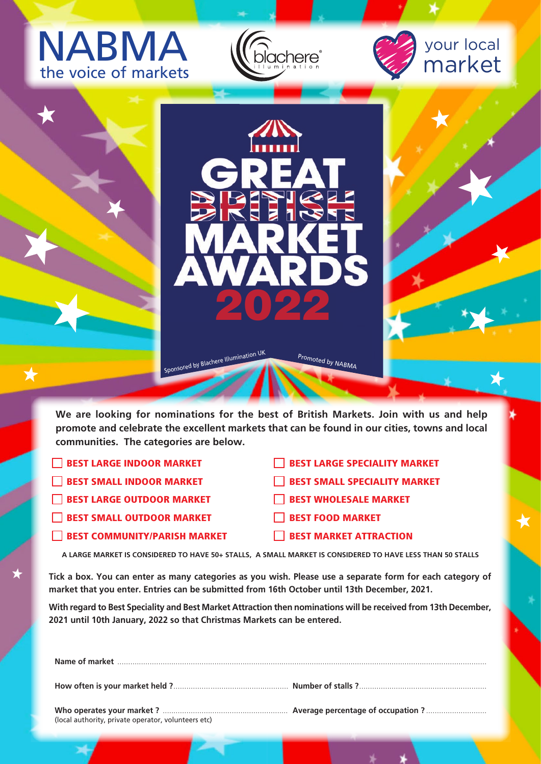## NABMA the voice of markets







**We are looking for nominations for the best of British Markets. Join with us and help promote and celebrate the excellent markets that can be found in our cities, towns and local communities. The categories are below.**

- **BEST LARGE INDOOR MARKET**
- BEST SMALL INDOOR MARKET
- BEST LARGE OUTDOOR MARKET
- **BEST SMALL OUTDOOR MARKET**
- **BEST COMMUNITY/PARISH MARKET**
- **BEST LARGE SPECIALITY MARKET**
- BEST SMALL SPECIALITY MARKET
- BEST WHOLESALE MARKET
- BEST FOOD MARKET
- BEST MARKET ATTRACTION

**A LARGE MARKET IS CONSIDERED TO HAVE 50+ STALLS, A SMALL MARKET IS CONSIDERED TO HAVE LESS THAN 50 STALLS**

**Tick a box. You can enter as many categories as you wish. Please use a separate form for each category of market that you enter. Entries can be submitted from 16th October until 13th December, 2021.**

**With regard to Best Speciality and Best Market Attraction then nominations will be received from 13th December, 2021 until 10th January, 2022 so that Christmas Markets can be entered.**

| (local authority, private operator, volunteers etc) |  |
|-----------------------------------------------------|--|